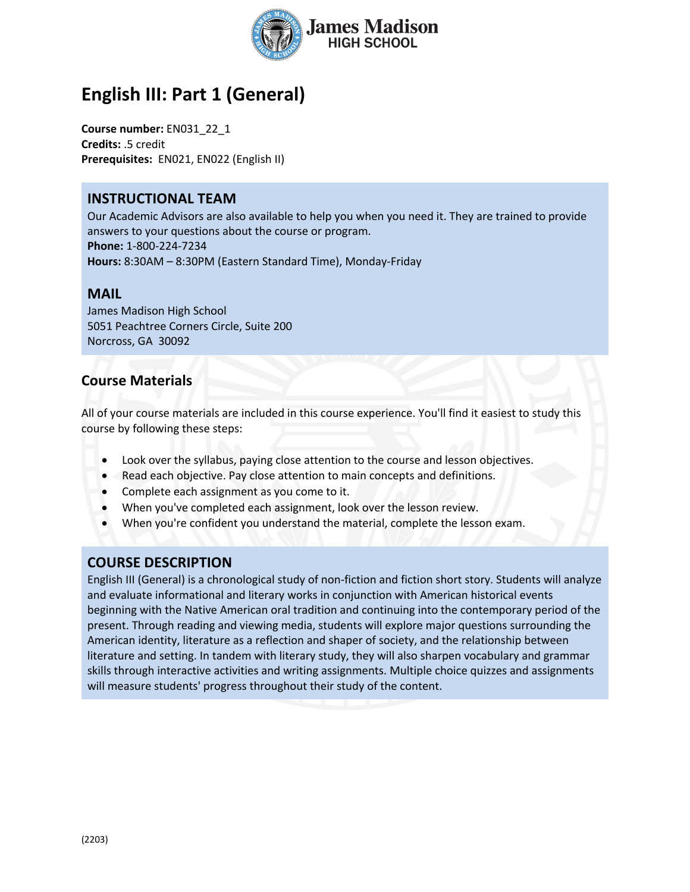

# **English III: Part 1 (General)**

**Course number:** EN031\_22\_1 **Credits:** .5 credit **Prerequisites:** EN021, EN022 (English II)

### **INSTRUCTIONAL TEAM**

Our Academic Advisors are also available to help you when you need it. They are trained to provide answers to your questions about the course or program. **Phone:** 1-800-224-7234 **Hours:** 8:30AM – 8:30PM (Eastern Standard Time), Monday-Friday

#### **MAIL**

James Madison High School 5051 Peachtree Corners Circle, Suite 200 Norcross, GA 30092

## **Course Materials**

All of your course materials are included in this course experience. You'll find it easiest to study this course by following these steps:

- Look over the syllabus, paying close attention to the course and lesson objectives.
- Read each objective. Pay close attention to main concepts and definitions.
- Complete each assignment as you come to it.
- When you've completed each assignment, look over the lesson review.
- When you're confident you understand the material, complete the lesson exam.

## **COURSE DESCRIPTION**

English III (General) is a chronological study of non-fiction and fiction short story. Students will analyze and evaluate informational and literary works in conjunction with American historical events beginning with the Native American oral tradition and continuing into the contemporary period of the present. Through reading and viewing media, students will explore major questions surrounding the American identity, literature as a reflection and shaper of society, and the relationship between literature and setting. In tandem with literary study, they will also sharpen vocabulary and grammar skills through interactive activities and writing assignments. Multiple choice quizzes and assignments will measure students' progress throughout their study of the content.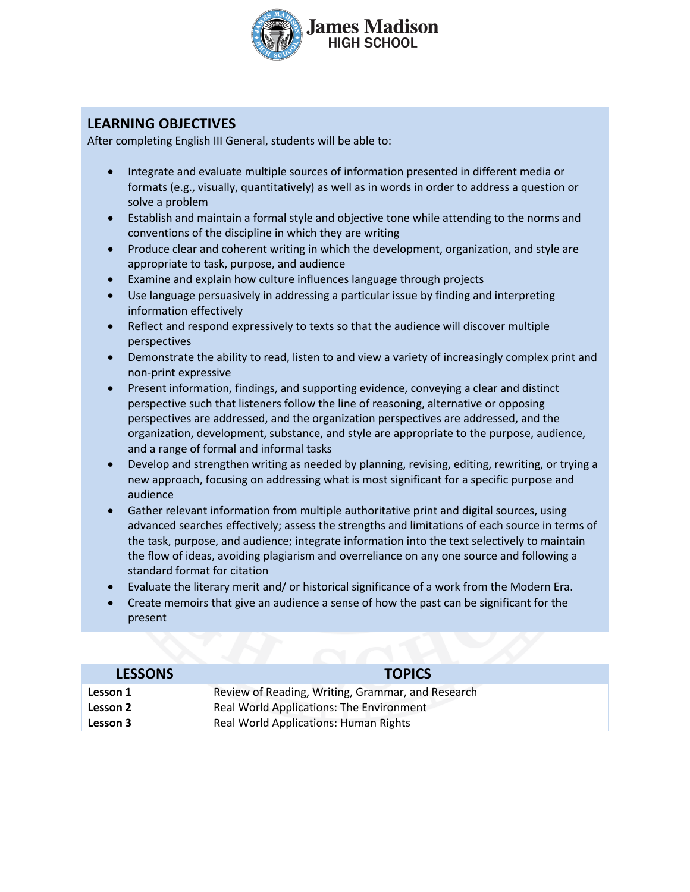

## **LEARNING OBJECTIVES**

After completing English III General, students will be able to:

- Integrate and evaluate multiple sources of information presented in different media or formats (e.g., visually, quantitatively) as well as in words in order to address a question or solve a problem
- Establish and maintain a formal style and objective tone while attending to the norms and conventions of the discipline in which they are writing
- Produce clear and coherent writing in which the development, organization, and style are appropriate to task, purpose, and audience
- Examine and explain how culture influences language through projects
- Use language persuasively in addressing a particular issue by finding and interpreting information effectively
- Reflect and respond expressively to texts so that the audience will discover multiple perspectives
- Demonstrate the ability to read, listen to and view a variety of increasingly complex print and non-print expressive
- Present information, findings, and supporting evidence, conveying a clear and distinct perspective such that listeners follow the line of reasoning, alternative or opposing perspectives are addressed, and the organization perspectives are addressed, and the organization, development, substance, and style are appropriate to the purpose, audience, and a range of formal and informal tasks
- Develop and strengthen writing as needed by planning, revising, editing, rewriting, or trying a new approach, focusing on addressing what is most significant for a specific purpose and audience
- Gather relevant information from multiple authoritative print and digital sources, using advanced searches effectively; assess the strengths and limitations of each source in terms of the task, purpose, and audience; integrate information into the text selectively to maintain the flow of ideas, avoiding plagiarism and overreliance on any one source and following a standard format for citation
- Evaluate the literary merit and/ or historical significance of a work from the Modern Era.
- Create memoirs that give an audience a sense of how the past can be significant for the present

| <b>LESSONS</b> | <b>TOPICS</b>                                     |
|----------------|---------------------------------------------------|
| Lesson 1       | Review of Reading, Writing, Grammar, and Research |
| Lesson 2       | <b>Real World Applications: The Environment</b>   |
| Lesson 3       | <b>Real World Applications: Human Rights</b>      |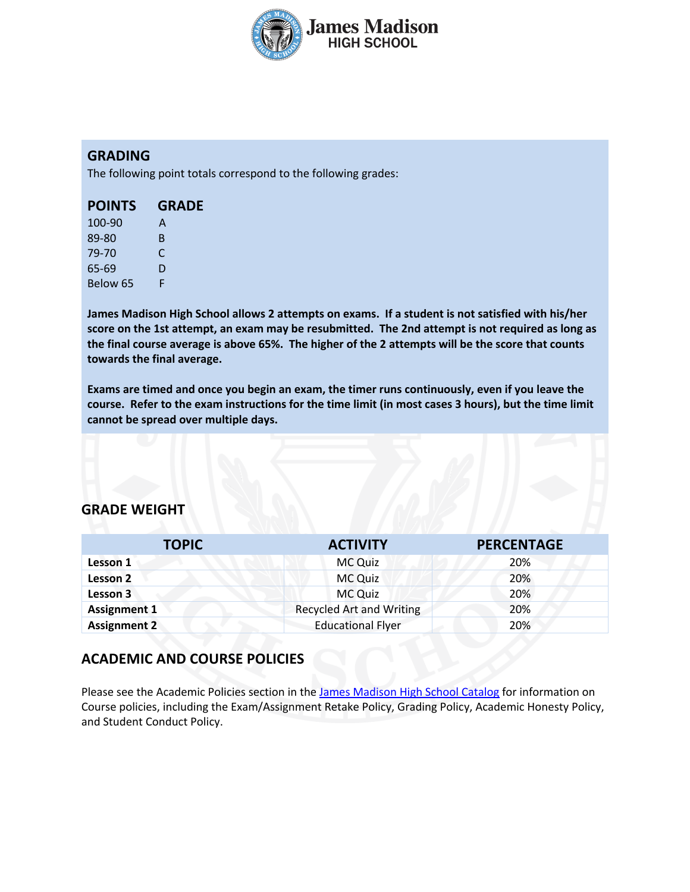

### **GRADING**

The following point totals correspond to the following grades:

| <b>POINTS</b> | <b>GRADE</b> |
|---------------|--------------|
| 100-90        | A            |
| 89-80         | R            |
| 79-70         | C            |
| 65-69         | D            |

Below 65 F

**James Madison High School allows 2 attempts on exams. If a student is not satisfied with his/her score on the 1st attempt, an exam may be resubmitted. The 2nd attempt is not required as long as the final course average is above 65%. The higher of the 2 attempts will be the score that counts towards the final average.** 

**Exams are timed and once you begin an exam, the timer runs continuously, even if you leave the course. Refer to the exam instructions for the time limit (in most cases 3 hours), but the time limit cannot be spread over multiple days.**

### **GRADE WEIGHT**

| <b>TOPIC</b>        | <b>ACTIVITY</b>                 | <b>PERCENTAGE</b> |
|---------------------|---------------------------------|-------------------|
| Lesson 1            | MC Quiz                         | 20%               |
| <b>Lesson 2</b>     | <b>MC Quiz</b>                  | 20%               |
| Lesson 3            | <b>MC Quiz</b>                  | 20%               |
| <b>Assignment 1</b> | <b>Recycled Art and Writing</b> | 20%               |
| <b>Assignment 2</b> | <b>Educational Flyer</b>        | 20%               |

## **ACADEMIC AND COURSE POLICIES**

Please see the Academic Policies section in the James Madison High School Catalog for information on Course policies, including the Exam/Assignment Retake Policy, Grading Policy, Academic Honesty Policy, and Student Conduct Policy.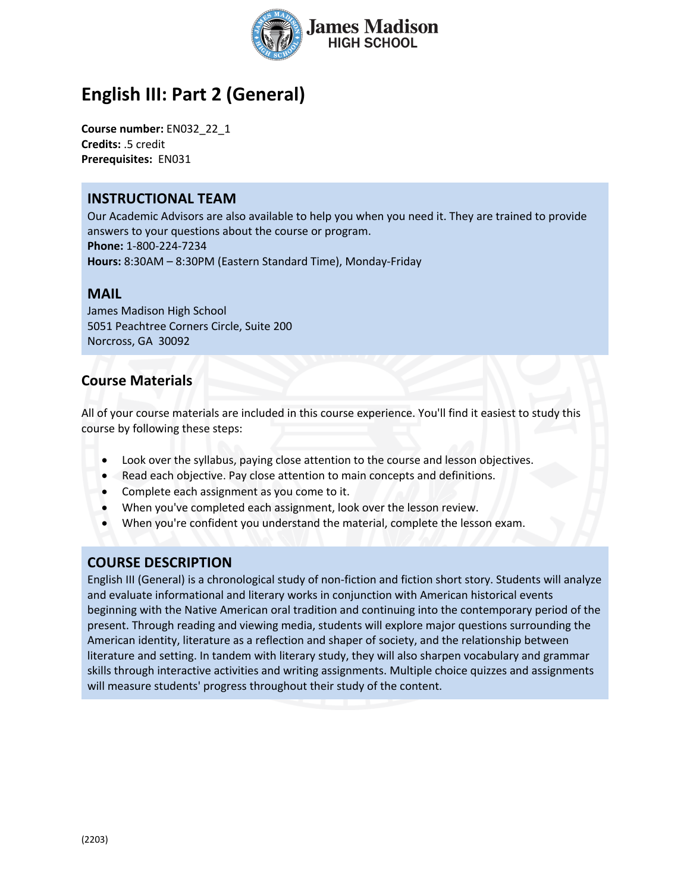

# **English III: Part 2 (General)**

**Course number:** EN032\_22\_1 **Credits:** .5 credit **Prerequisites:** EN031

### **INSTRUCTIONAL TEAM**

Our Academic Advisors are also available to help you when you need it. They are trained to provide answers to your questions about the course or program. **Phone:** 1-800-224-7234 **Hours:** 8:30AM – 8:30PM (Eastern Standard Time), Monday-Friday

#### **MAIL**

James Madison High School 5051 Peachtree Corners Circle, Suite 200 Norcross, GA 30092

## **Course Materials**

All of your course materials are included in this course experience. You'll find it easiest to study this course by following these steps:

- Look over the syllabus, paying close attention to the course and lesson objectives.
- Read each objective. Pay close attention to main concepts and definitions.
- Complete each assignment as you come to it.
- When you've completed each assignment, look over the lesson review.
- When you're confident you understand the material, complete the lesson exam.

## **COURSE DESCRIPTION**

English III (General) is a chronological study of non-fiction and fiction short story. Students will analyze and evaluate informational and literary works in conjunction with American historical events beginning with the Native American oral tradition and continuing into the contemporary period of the present. Through reading and viewing media, students will explore major questions surrounding the American identity, literature as a reflection and shaper of society, and the relationship between literature and setting. In tandem with literary study, they will also sharpen vocabulary and grammar skills through interactive activities and writing assignments. Multiple choice quizzes and assignments will measure students' progress throughout their study of the content.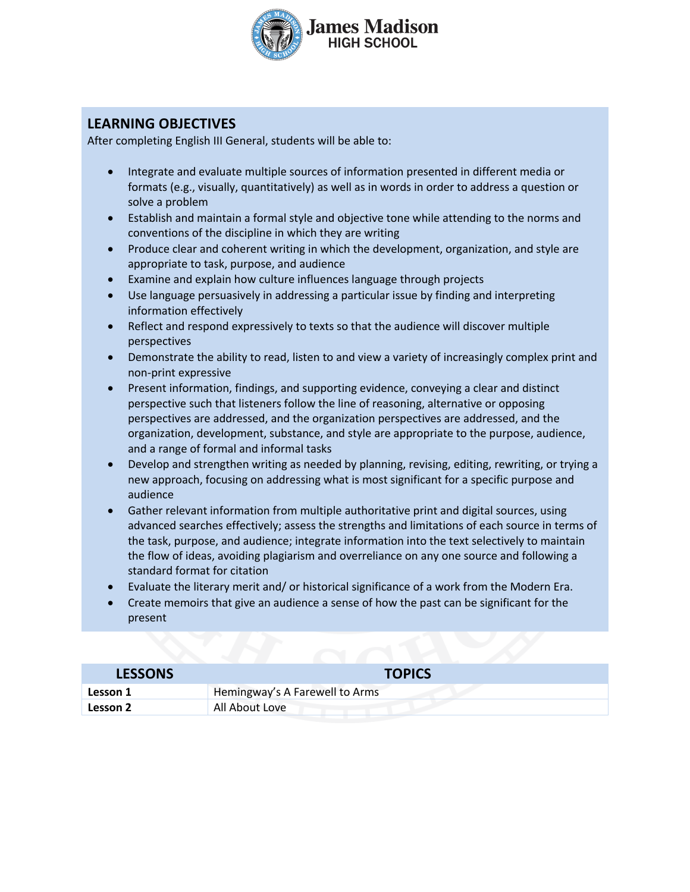

## **LEARNING OBJECTIVES**

After completing English III General, students will be able to:

- Integrate and evaluate multiple sources of information presented in different media or formats (e.g., visually, quantitatively) as well as in words in order to address a question or solve a problem
- Establish and maintain a formal style and objective tone while attending to the norms and conventions of the discipline in which they are writing
- Produce clear and coherent writing in which the development, organization, and style are appropriate to task, purpose, and audience
- Examine and explain how culture influences language through projects
- Use language persuasively in addressing a particular issue by finding and interpreting information effectively
- Reflect and respond expressively to texts so that the audience will discover multiple perspectives
- Demonstrate the ability to read, listen to and view a variety of increasingly complex print and non-print expressive
- Present information, findings, and supporting evidence, conveying a clear and distinct perspective such that listeners follow the line of reasoning, alternative or opposing perspectives are addressed, and the organization perspectives are addressed, and the organization, development, substance, and style are appropriate to the purpose, audience, and a range of formal and informal tasks
- Develop and strengthen writing as needed by planning, revising, editing, rewriting, or trying a new approach, focusing on addressing what is most significant for a specific purpose and audience
- Gather relevant information from multiple authoritative print and digital sources, using advanced searches effectively; assess the strengths and limitations of each source in terms of the task, purpose, and audience; integrate information into the text selectively to maintain the flow of ideas, avoiding plagiarism and overreliance on any one source and following a standard format for citation
- Evaluate the literary merit and/ or historical significance of a work from the Modern Era.
- Create memoirs that give an audience a sense of how the past can be significant for the present

| <b>LESSONS</b> | <b>TOPICS</b>                  |
|----------------|--------------------------------|
| Lesson 1       | Hemingway's A Farewell to Arms |
| Lesson 2       | All About Love                 |